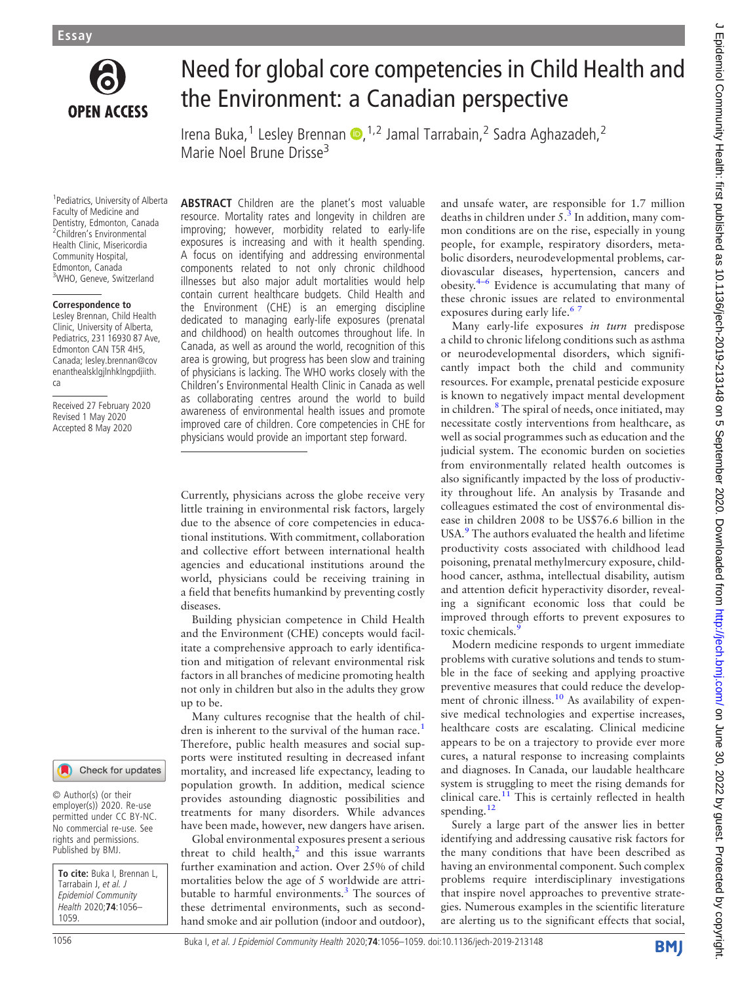

## Need for global core competencies in Child Health and the Environment: a Canadian perspective

Irena Buka[,](http://orcid.org/0000-0002-7543-3324)<sup>1</sup> Lesley Brennan D, <sup>1,2</sup> Jamal Tarrabain,<sup>2</sup> Sadra Aghazadeh,<sup>2</sup> Marie Noel Brune Drisse3

1 Pediatrics, University of Alberta Faculty of Medicine and Dentistry, Edmonton, Canada 2 Children's Environmental Health Clinic, Misericordia Community Hospital, Edmonton, Canada <sup>3</sup>WHO, Geneve, Switzerland

## Correspondence to

Lesley Brennan, Child Health Clinic, University of Alberta, Pediatrics, 231 16930 87 Ave, Edmonton CAN T5R 4H5, Canada; [lesley.brennan@cov](mailto:lesley.brennan@covenanthealsklgjlnhklngpdjiith.ca) [enanthealsklgjlnhklngpdjiith.](mailto:lesley.brennan@covenanthealsklgjlnhklngpdjiith.ca) [ca](mailto:lesley.brennan@covenanthealsklgjlnhklngpdjiith.ca)

Received 27 February 2020 Revised 1 May 2020 Accepted 8 May 2020

Check for updates

© Author(s) (or their employer(s)) 2020. Re-use permitted under CC BY-NC. No commercial re-use. See rights and permissions. Published by BMJ.

To cite: Buka I, Brennan L, Tarrabain J, et al. J Epidemiol Community Health 2020;74:1056-1059.

**ABSTRACT** Children are the planet's most valuable resource. Mortality rates and longevity in children are improving; however, morbidity related to early-life exposures is increasing and with it health spending. A focus on identifying and addressing environmental components related to not only chronic childhood illnesses but also major adult mortalities would help contain current healthcare budgets. Child Health and the Environment (CHE) is an emerging discipline dedicated to managing early-life exposures (prenatal and childhood) on health outcomes throughout life. In Canada, as well as around the world, recognition of this area is growing, but progress has been slow and training of physicians is lacking. The WHO works closely with the Children's Environmental Health Clinic in Canada as well as collaborating centres around the world to build awareness of environmental health issues and promote improved care of children. Core competencies in CHE for physicians would provide an important step forward.

Currently, physicians across the globe receive very little training in environmental risk factors, largely due to the absence of core competencies in educational institutions. With commitment, collaboration and collective effort between international health agencies and educational institutions around the world, physicians could be receiving training in a field that benefits humankind by preventing costly diseases.

Building physician competence in Child Health and the Environment (CHE) concepts would facilitate a comprehensive approach to early identification and mitigation of relevant environmental risk factors in all branches of medicine promoting health not only in children but also in the adults they grow up to be.

Many cultures recognise that the health of chil-dren is inherent to the survival of the human race.<sup>[1](#page-2-0)</sup> Therefore, public health measures and social supports were instituted resulting in decreased infant mortality, and increased life expectancy, leading to population growth. In addition, medical science provides astounding diagnostic possibilities and treatments for many disorders. While advances have been made, however, new dangers have arisen.

Global environmental exposures present a serious threat to child health, $<sup>2</sup>$  $<sup>2</sup>$  $<sup>2</sup>$  and this issue warrants</sup> further examination and action. Over 25% of child mortalities below the age of 5 worldwide are attri-butable to harmful environments.<sup>[3](#page-2-2)</sup> The sources of these detrimental environments, such as secondhand smoke and air pollution (indoor and outdoor),

and unsafe water, are responsible for 1.7 million deaths in children under  $5.\overline{3}$  $5.\overline{3}$  $5.\overline{3}$  In addition, many common conditions are on the rise, especially in young people, for example, respiratory disorders, metabolic disorders, neurodevelopmental problems, cardiovascular diseases, hypertension, cancers and obesity. $4-6$  $4-6$  Evidence is accumulating that many of these chronic issues are related to environmental exposures during early life.<sup>6</sup>

Many early-life exposures in turn predispose a child to chronic lifelong conditions such as asthma or neurodevelopmental disorders, which significantly impact both the child and community resources. For example, prenatal pesticide exposure is known to negatively impact mental development in children.<sup>[8](#page-2-5)</sup> The spiral of needs, once initiated, may necessitate costly interventions from healthcare, as well as social programmes such as education and the judicial system. The economic burden on societies from environmentally related health outcomes is also significantly impacted by the loss of productivity throughout life. An analysis by Trasande and colleagues estimated the cost of environmental disease in children 2008 to be US\$76.6 billion in the USA.<sup>[9](#page-2-6)</sup> The authors evaluated the health and lifetime productivity costs associated with childhood lead poisoning, prenatal methylmercury exposure, childhood cancer, asthma, intellectual disability, autism and attention deficit hyperactivity disorder, revealing a significant economic loss that could be improved through efforts to prevent exposures to toxic chemicals.<sup>[9](#page-2-6)</sup>

Modern medicine responds to urgent immediate problems with curative solutions and tends to stumble in the face of seeking and applying proactive preventive measures that could reduce the develop-ment of chronic illness.<sup>[10](#page-2-7)</sup> As availability of expensive medical technologies and expertise increases, healthcare costs are escalating. Clinical medicine appears to be on a trajectory to provide ever more cures, a natural response to increasing complaints and diagnoses. In Canada, our laudable healthcare system is struggling to meet the rising demands for clinical care.<sup>[11](#page-2-8)</sup> This is certainly reflected in health spending.<sup>[12](#page-2-9)</sup>

Surely a large part of the answer lies in better identifying and addressing causative risk factors for the many conditions that have been described as having an environmental component. Such complex problems require interdisciplinary investigations that inspire novel approaches to preventive strategies. Numerous examples in the scientific literature are alerting us to the significant effects that social,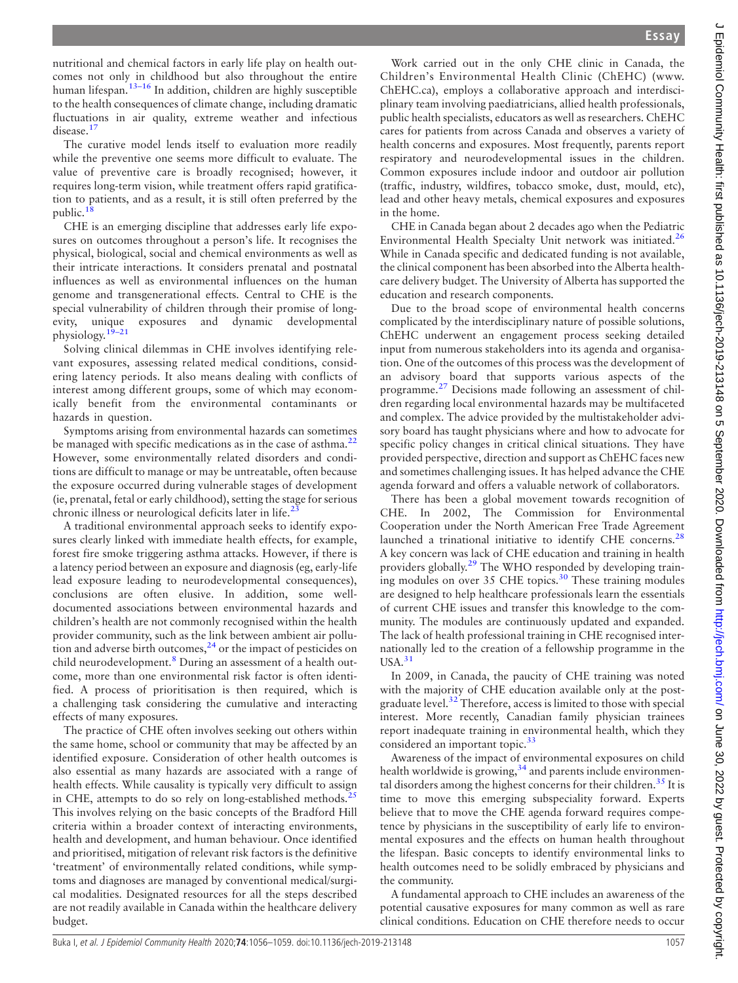nutritional and chemical factors in early life play on health outcomes not only in childhood but also throughout the entire human lifespan.13–[16](#page-2-10) In addition, children are highly susceptible to the health consequences of climate change, including dramatic fluctuations in air quality, extreme weather and infectious disease.[17](#page-2-11)

The curative model lends itself to evaluation more readily while the preventive one seems more difficult to evaluate. The value of preventive care is broadly recognised; however, it requires long-term vision, while treatment offers rapid gratification to patients, and as a result, it is still often preferred by the public.<sup>[18](#page-2-12)</sup>

CHE is an emerging discipline that addresses early life exposures on outcomes throughout a person's life. It recognises the physical, biological, social and chemical environments as well as their intricate interactions. It considers prenatal and postnatal influences as well as environmental influences on the human genome and transgenerational effects. Central to CHE is the special vulnerability of children through their promise of longevity, unique exposures and dynamic developmental physiology.19–[21](#page-2-13)

Solving clinical dilemmas in CHE involves identifying relevant exposures, assessing related medical conditions, considering latency periods. It also means dealing with conflicts of interest among different groups, some of which may economically benefit from the environmental contaminants or hazards in question.

Symptoms arising from environmental hazards can sometimes be managed with specific medications as in the case of asthma.<sup>[22](#page-2-14)</sup> However, some environmentally related disorders and conditions are difficult to manage or may be untreatable, often because the exposure occurred during vulnerable stages of development (ie, prenatal, fetal or early childhood), setting the stage for serious chronic illness or neurological deficits later in life.<sup>2</sup>

A traditional environmental approach seeks to identify exposures clearly linked with immediate health effects, for example, forest fire smoke triggering asthma attacks. However, if there is a latency period between an exposure and diagnosis (eg, early-life lead exposure leading to neurodevelopmental consequences), conclusions are often elusive. In addition, some welldocumented associations between environmental hazards and children's health are not commonly recognised within the health provider community, such as the link between ambient air pollution and adverse birth outcomes,  $24$  or the impact of pesticides on child neurodevelopment.<sup>[8](#page-2-5)</sup> During an assessment of a health outcome, more than one environmental risk factor is often identified. A process of prioritisation is then required, which is a challenging task considering the cumulative and interacting effects of many exposures.

The practice of CHE often involves seeking out others within the same home, school or community that may be affected by an identified exposure. Consideration of other health outcomes is also essential as many hazards are associated with a range of health effects. While causality is typically very difficult to assign in CHE, attempts to do so rely on long-established methods.<sup>2</sup> This involves relying on the basic concepts of the Bradford Hill criteria within a broader context of interacting environments, health and development, and human behaviour. Once identified and prioritised, mitigation of relevant risk factors is the definitive 'treatment' of environmentally related conditions, while symptoms and diagnoses are managed by conventional medical/surgical modalities. Designated resources for all the steps described are not readily available in Canada within the healthcare delivery budget.

Work carried out in the only CHE clinic in Canada, the Children's Environmental Health Clinic (ChEHC) ([www.](www.ChEHC.ca) [ChEHC.ca\)](www.ChEHC.ca), employs a collaborative approach and interdisciplinary team involving paediatricians, allied health professionals, public health specialists, educators as well as researchers. ChEHC cares for patients from across Canada and observes a variety of health concerns and exposures. Most frequently, parents report respiratory and neurodevelopmental issues in the children. Common exposures include indoor and outdoor air pollution (traffic, industry, wildfires, tobacco smoke, dust, mould, etc), lead and other heavy metals, chemical exposures and exposures in the home.

CHE in Canada began about 2 decades ago when the Pediatric Environmental Health Specialty Unit network was initiated.[26](#page-2-18) While in Canada specific and dedicated funding is not available, the clinical component has been absorbed into the Alberta healthcare delivery budget. The University of Alberta has supported the education and research components.

Due to the broad scope of environmental health concerns complicated by the interdisciplinary nature of possible solutions, ChEHC underwent an engagement process seeking detailed input from numerous stakeholders into its agenda and organisation. One of the outcomes of this process was the development of an advisory board that supports various aspects of the programme.[27](#page-2-19) Decisions made following an assessment of children regarding local environmental hazards may be multifaceted and complex. The advice provided by the multistakeholder advisory board has taught physicians where and how to advocate for specific policy changes in critical clinical situations. They have provided perspective, direction and support as ChEHC faces new and sometimes challenging issues. It has helped advance the CHE agenda forward and offers a valuable network of collaborators.

There has been a global movement towards recognition of CHE. In 2002, The Commission for Environmental Cooperation under the North American Free Trade Agreement launched a trinational initiative to identify CHE concerns.<sup>28</sup> A key concern was lack of CHE education and training in health providers globally.<sup>[29](#page-3-1)</sup> The WHO responded by developing train-ing modules on over 35 CHE topics.<sup>[30](#page-3-2)</sup> These training modules are designed to help healthcare professionals learn the essentials of current CHE issues and transfer this knowledge to the community. The modules are continuously updated and expanded. The lack of health professional training in CHE recognised internationally led to the creation of a fellowship programme in the  $USA.<sup>31</sup>$  $USA.<sup>31</sup>$  $USA.<sup>31</sup>$ 

In 2009, in Canada, the paucity of CHE training was noted with the majority of CHE education available only at the post-graduate level.<sup>[32](#page-3-4)</sup> Therefore, access is limited to those with special interest. More recently, Canadian family physician trainees report inadequate training in environmental health, which they considered an important topic.<sup>33</sup>

Awareness of the impact of environmental exposures on child health worldwide is growing, $34$  and parents include environmen-tal disorders among the highest concerns for their children.<sup>[35](#page-3-7)</sup> It is time to move this emerging subspeciality forward. Experts believe that to move the CHE agenda forward requires competence by physicians in the susceptibility of early life to environmental exposures and the effects on human health throughout the lifespan. Basic concepts to identify environmental links to health outcomes need to be solidly embraced by physicians and the community.

A fundamental approach to CHE includes an awareness of the potential causative exposures for many common as well as rare clinical conditions. Education on CHE therefore needs to occur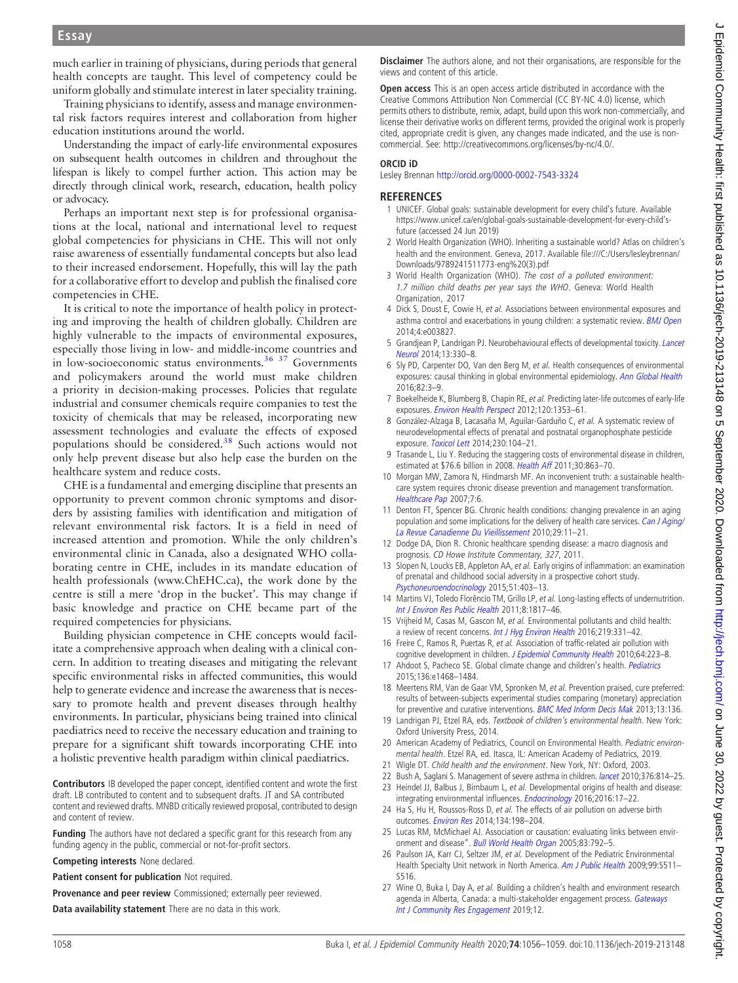much earlier in training of physicians, during periods that general health concepts are taught. This level of competency could be uniform globally and stimulate interest in later speciality training.

Training physicians to identify, assess and manage environmental risk factors requires interest and collaboration from higher education institutions around the world.

Understanding the impact of early-life environmental exposures on subsequent health outcomes in children and throughout the lifespan is likely to compel further action. This action may be directly through clinical work, research, education, health policy or advocacy.

Perhaps an important next step is for professional organisations at the local, national and international level to request global competencies for physicians in CHE. This will not only raise awareness of essentially fundamental concepts but also lead to their increased endorsement. Hopefully, this will lay the path for a collaborative effort to develop and publish the finalised core competencies in CHE.

It is critical to note the importance of health policy in protecting and improving the health of children globally. Children are highly vulnerable to the impacts of environmental exposures, especially those living in low- and middle-income countries and in low-socioeconomic status environments. $36\,37$  Governments and policymakers around the world must make children a priority in decision-making processes. Policies that regulate industrial and consumer chemicals require companies to test the toxicity of chemicals that may be released, incorporating new assessment technologies and evaluate the effects of exposed populations should be considered.[38](#page-3-9) Such actions would not only help prevent disease but also help ease the burden on the healthcare system and reduce costs.

CHE is a fundamental and emerging discipline that presents an opportunity to prevent common chronic symptoms and disorders by assisting families with identification and mitigation of relevant environmental risk factors. It is a field in need of increased attention and promotion. While the only children's environmental clinic in Canada, also a designated WHO collaborating centre in CHE, includes in its mandate education of health professionals [\(www.ChEHC.ca\)](www.ChEHC.ca), the work done by the centre is still a mere 'drop in the bucket'. This may change if basic knowledge and practice on CHE became part of the required competencies for physicians.

Building physician competence in CHE concepts would facilitate a comprehensive approach when dealing with a clinical concern. In addition to treating diseases and mitigating the relevant specific environmental risks in affected communities, this would help to generate evidence and increase the awareness that is necessary to promote health and prevent diseases through healthy environments. In particular, physicians being trained into clinical paediatrics need to receive the necessary education and training to prepare for a significant shift towards incorporating CHE into a holistic preventive health paradigm within clinical paediatrics.

Contributors IB developed the paper concept, identified content and wrote the first draft. LB contributed to content and to subsequent drafts. JT and SA contributed content and reviewed drafts. MNBD critically reviewed proposal, contributed to design and content of review.

Funding The authors have not declared a specific grant for this research from any funding agency in the public, commercial or not-for-profit sectors.

Competing interests None declared.

Patient consent for publication Not required.

Provenance and peer review Commissioned; externally peer reviewed.

Data availability statement There are no data in this work.

Disclaimer The authors alone, and not their organisations, are responsible for the views and content of this article.

Open access This is an open access article distributed in accordance with the Creative Commons Attribution Non Commercial (CC BY-NC 4.0) license, which permits others to distribute, remix, adapt, build upon this work non-commercially, and license their derivative works on different terms, provided the original work is properly cited, appropriate credit is given, any changes made indicated, and the use is noncommercial. See: [http://creativecommons.org/licenses/by-nc/4.0/.](http://creativecommons.org/licenses/by-nc/4.0/)

## ORCID iD

Lesley Brennan <http://orcid.org/0000-0002-7543-3324>

## **REFERENCES**

- <span id="page-2-0"></span>1 UNICEF. Global goals: sustainable development for every child's future. Available [https://www.unicef.ca/en/global-goals-sustainable-development-for-every-child](https://www.unicef.ca/en/global-goals-sustainable-development-for-every-child%2019s-future)'s[future](https://www.unicef.ca/en/global-goals-sustainable-development-for-every-child%2019s-future) (accessed 24 Jun 2019)
- <span id="page-2-1"></span>2 World Health Organization (WHO). Inheriting a sustainable world? Atlas on children's health and the environment. Geneva, 2017. Available fi[le:///C:/Users/lesleybrennan/](file:///C:/Users/lesleybrennan/Downloads/9789241511773-eng%2520(3).pdf) [Downloads/9789241511773-eng%20\(3\).pdf](file:///C:/Users/lesleybrennan/Downloads/9789241511773-eng%2520(3).pdf)
- <span id="page-2-2"></span>3 World Health Organization (WHO). The cost of a polluted environment: 1.7 million child deaths per year says the WHO. Geneva: World Health Organization, 2017
- <span id="page-2-3"></span>4 Dick S, Doust E, Cowie H, et al. Associations between environmental exposures and asthma control and exacerbations in young children: a systematic review. **[BMJ Open](https://dx.doi.org/10.1136/bmjopen-2013-003827)** 2014;4:e003827.
- 5 Grandjean P, Landrigan PJ. Neurobehavioural effects of developmental toxicity. [Lancet](https://dx.doi.org/10.1016/S1474-4422(13)70278-3) [Neurol](https://dx.doi.org/10.1016/S1474-4422(13)70278-3) 2014;13:330–8.
- <span id="page-2-4"></span>6 Sly PD, Carpenter DO, Van den Berg M, et al. Health consequences of environmental exposures: causal thinking in global environmental epidemiology. [Ann Global Health](https://dx.doi.org/10.1016/j.aogh.2016.01.004) 2016;82:3–9.
- 7 Boekelheide K, Blumberg B, Chapin RE, et al. Predicting later-life outcomes of early-life exposures. [Environ Health Perspect](https://dx.doi.org/10.1289/ehp.1204934) 2012;120:1353–61.
- <span id="page-2-5"></span>8 González-Alzaga B, Lacasaña M, Aguilar-Garduño C, et al. A systematic review of neurodevelopmental effects of prenatal and postnatal organophosphate pesticide exposure. [Toxicol Lett](https://dx.doi.org/10.1016/j.toxlet.2013.11.019)  $2014:230:104-21$ .
- <span id="page-2-6"></span>9 Trasande L, Liu Y. Reducing the staggering costs of environmental disease in children, estimated at \$76.6 billion in 2008. [Health Aff](https://dx.doi.org/10.1377/hlthaff.2010.1239) 2011;30:863-70.
- <span id="page-2-7"></span>10 Morgan MW, Zamora N, Hindmarsh MF. An inconvenient truth: a sustainable healthcare system requires chronic disease prevention and management transformation. [Healthcare Pap](https://dx.doi.org/10.12927/hcpap.2007.18992) 2007;7:6.
- <span id="page-2-8"></span>11 Denton FT, Spencer BG. Chronic health conditions: changing prevalence in an aging population and some implications for the delivery of health care services. [Can J Aging/](https://dx.doi.org/10.1017/S0714980809990390) [La Revue Canadienne Du Vieillissement](https://dx.doi.org/10.1017/S0714980809990390) 2010;29:11–21.
- <span id="page-2-9"></span>12 Dodge DA, Dion R. Chronic healthcare spending disease: a macro diagnosis and prognosis. CD Howe Institute Commentary, 327, 2011.
- <span id="page-2-10"></span>13 Slopen N, Loucks EB, Appleton AA, et al. Early origins of inflammation: an examination of prenatal and childhood social adversity in a prospective cohort study. [Psychoneuroendocrinology](https://dx.doi.org/10.1016/j.psyneuen.2014.10.016) 2015;51:403–13.
- 14 Martins VJ, Toledo Florêncio TM, Grillo LP, et al. Long-lasting effects of undernutrition. [Int J Environ Res Public Health](https://dx.doi.org/10.3390/ijerph8061817) 2011;8:1817–46.
- 15 Vrijheid M, Casas M, Gascon M, et al. Environmental pollutants and child health: a review of recent concerns. [Int J Hyg Environ Health](https://dx.doi.org/10.1016/j.ijheh.2016.05.001) 2016;219:331–42.
- 16 Freire C, Ramos R, Puertas R, et al. Association of traffic-related air pollution with cognitive development in children. [J Epidemiol Community Health](https://dx.doi.org/10.1136/jech.2008.084574) 2010;64:223-8.
- <span id="page-2-11"></span>17 Ahdoot S, Pacheco SE. Global climate change and children's health. [Pediatrics](https://dx.doi.org/10.1542/peds.2015-3233) 2015;136:e1468–1484.
- <span id="page-2-12"></span>18 Meertens RM, Van de Gaar VM, Spronken M, et al. Prevention praised, cure preferred: results of between-subjects experimental studies comparing (monetary) appreciation for preventive and curative interventions. [BMC Med Inform Decis Mak](https://dx.doi.org/10.1186/1472-6947-13-136) 2013:13:136.
- <span id="page-2-13"></span>19 Landrigan PJ, Etzel RA, eds. Textbook of children's environmental health. New York: Oxford University Press, 2014.
- 20 American Academy of Pediatrics, Council on Environmental Health. Pediatric environmental health. Etzel RA, ed. Itasca, IL: American Academy of Pediatrics, 2019.
- 21 Wigle DT. Child health and the environment. New York, NY: Oxford, 2003.
- <span id="page-2-14"></span>22 Bush A, Saglani S. Management of severe asthma in children. [lancet](https://dx.doi.org/10.1016/S0140-6736(10)61054-9) 2010;376:814-25.
- <span id="page-2-15"></span>23 Heindel JJ, Balbus J, Birnbaum L, et al. Developmental origins of health and disease:
- <span id="page-2-16"></span>integrating environmental influences. [Endocrinology](https://dx.doi.org/https://doi.org/10.1210/en.2015-1394) 2016;2016:17-22. 24 Ha S, Hu H, Roussos-Ross D, et al. The effects of air pollution on adverse birth outcomes. [Environ Res](https://dx.doi.org/10.1016/j.envres.2014.08.002) 2014;134:198–204.
- <span id="page-2-17"></span>25 Lucas RM, McMichael AJ. Association or causation: evaluating links between envir-onment and disease". [Bull World Health Organ](https://dx.doi.org//S0042-96862005001000017) 2005;83:792-5.
- <span id="page-2-18"></span>26 Paulson JA, Karr CJ, Seltzer JM, et al. Development of the Pediatric Environmental Health Specialty Unit network in North America. [Am J Public Health](https://dx.doi.org/10.2105/AJPH.2008.154641) 2009;99:S511-S516.
- <span id="page-2-19"></span>27 Wine O, Buka I, Day A, et al. Building a children's health and environment research agenda in Alberta, Canada: a multi-stakeholder engagement process. [Gateways](https://dx.doi.org/10.5130/ijcre.v12i1.6013) [Int J Community Res Engagement](https://dx.doi.org/10.5130/ijcre.v12i1.6013) 2019;12.